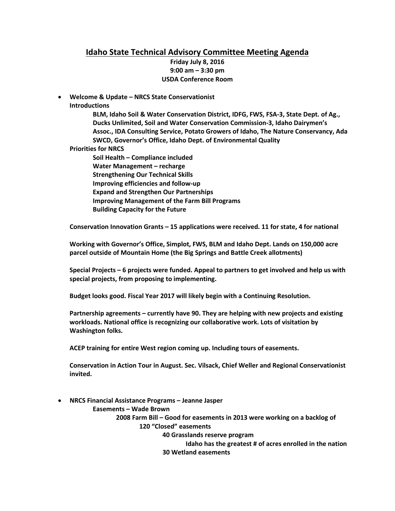# **Idaho State Technical Advisory Committee Meeting Agenda**

**Friday July 8, 2016 9:00 am – 3:30 pm USDA Conference Room** 

• **Welcome & Update – NRCS State Conservationist Introductions**

> **BLM, Idaho Soil & Water Conservation District, IDFG, FWS, FSA-3, State Dept. of Ag., Ducks Unlimited, Soil and Water Conservation Commission-3, Idaho Dairymen's Assoc., IDA Consulting Service, Potato Growers of Idaho, The Nature Conservancy, Ada SWCD, Governor's Office, Idaho Dept. of Environmental Quality**

**Priorities for NRCS**

**Soil Health – Compliance included Water Management – recharge Strengthening Our Technical Skills Improving efficiencies and follow-up Expand and Strengthen Our Partnerships Improving Management of the Farm Bill Programs Building Capacity for the Future**

**Conservation Innovation Grants – 15 applications were received. 11 for state, 4 for national**

**Working with Governor's Office, Simplot, FWS, BLM and Idaho Dept. Lands on 150,000 acre parcel outside of Mountain Home (the Big Springs and Battle Creek allotments)**

**Special Projects – 6 projects were funded. Appeal to partners to get involved and help us with special projects, from proposing to implementing.**

**Budget looks good. Fiscal Year 2017 will likely begin with a Continuing Resolution.**

**Partnership agreements – currently have 90. They are helping with new projects and existing workloads. National office is recognizing our collaborative work. Lots of visitation by Washington folks.**

**ACEP training for entire West region coming up. Including tours of easements.**

**Conservation in Action Tour in August. Sec. Vilsack, Chief Weller and Regional Conservationist invited.** 

• **NRCS Financial Assistance Programs – Jeanne Jasper**

**Easements – Wade Brown 2008 Farm Bill – Good for easements in 2013 were working on a backlog of 120 "Closed" easements 40 Grasslands reserve program Idaho has the greatest # of acres enrolled in the nation**

**30 Wetland easements**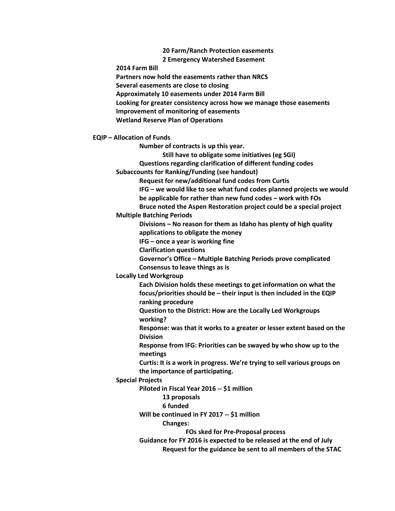**20 Farm/Ranch Protection easements 2 Emergency Watershed Easement**

**2014 Farm Bill**

**Partners now hold the easements rather than NRCS**

**Several easements are close to closing**

**Approximately 10 easements under 2014 Farm Bill**

**Looking for greater consistency across how we manage those easements**

**Improvement of monitoring of easements**

**Wetland Reserve Plan of Operations**

**EQIP – Allocation of Funds**

**Number of contracts is up this year.**

**Still have to obligate some initiatives (eg SGI)**

**Questions regarding clarification of different funding codes**

**Subaccounts for Ranking/Funding (see handout)**

**Request for new/additional fund codes from Curtis**

**IFG – we would like to see what fund codes planned projects we would** 

**be applicable for rather than new fund codes – work with FOs**

**Bruce noted the Aspen Restoration project could be a special project**

### **Multiple Batching Periods**

**Divisions – No reason for them as Idaho has plenty of high quality applications to obligate the money**

**IFG – once a year is working fine**

**Clarification questions**

**Governor's Office – Multiple Batching Periods prove complicated Consensus to leave things as is**

**Locally Led Workgroup**

**Each Division holds these meetings to get information on what the focus/priorities should be – their input is then included in the EQIP ranking procedure**

**Question to the District: How are the Locally Led Workgroups working?**

**Response: was that it works to a greater or lesser extent based on the Division**

**Response from IFG: Priorities can be swayed by who show up to the meetings**

**Curtis: It is a work in progress. We're trying to sell various groups on the importance of participating.** 

**Special Projects**

**Piloted in Fiscal Year 2016 -- \$1 million**

**13 proposals**

**6 funded**

**Will be continued in FY 2017 -- \$1 million**

**Changes:**

**FOs sked for Pre-Proposal process**

**Guidance for FY 2016 is expected to be released at the end of July Request for the guidance be sent to all members of the STAC**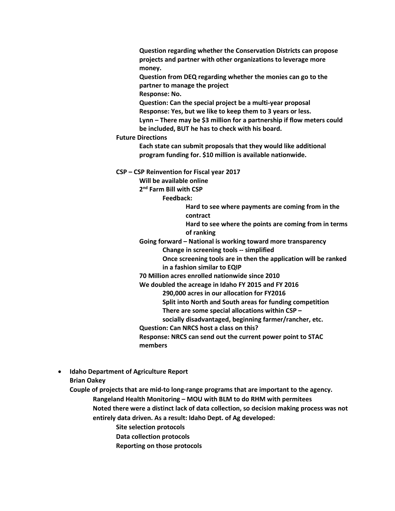**Question regarding whether the Conservation Districts can propose projects and partner with other organizations to leverage more money.**

**Question from DEQ regarding whether the monies can go to the partner to manage the project**

**Response: No.**

**Question: Can the special project be a multi-year proposal Response: Yes, but we like to keep them to 3 years or less. Lynn – There may be \$3 million for a partnership if flow meters could be included, BUT he has to check with his board.**

#### **Future Directions**

**Each state can submit proposals that they would like additional program funding for. \$10 million is available nationwide.**

**CSP – CSP Reinvention for Fiscal year 2017** 

**Will be available online**

**2nd Farm Bill with CSP**

**Feedback:**

**Hard to see where payments are coming from in the contract**

**Hard to see where the points are coming from in terms of ranking**

**Going forward – National is working toward more transparency Change in screening tools -- simplified**

**Once screening tools are in then the application will be ranked in a fashion similar to EQIP**

**70 Million acres enrolled nationwide since 2010**

**We doubled the acreage in Idaho FY 2015 and FY 2016**

**290,000 acres in our allocation for FY2016**

**Split into North and South areas for funding competition**

**There are some special allocations within CSP –**

**socially disadvantaged, beginning farmer/rancher, etc.**

**Question: Can NRCS host a class on this?**

**Response: NRCS can send out the current power point to STAC members**

• **Idaho Department of Agriculture Report Brian Oakey** 

**Couple of projects that are mid-to long-range programs that are important to the agency. Rangeland Health Monitoring – MOU with BLM to do RHM with permitees**

**Noted there were a distinct lack of data collection, so decision making process was not entirely data driven. As a result: Idaho Dept. of Ag developed:**

**Site selection protocols**

**Data collection protocols**

**Reporting on those protocols**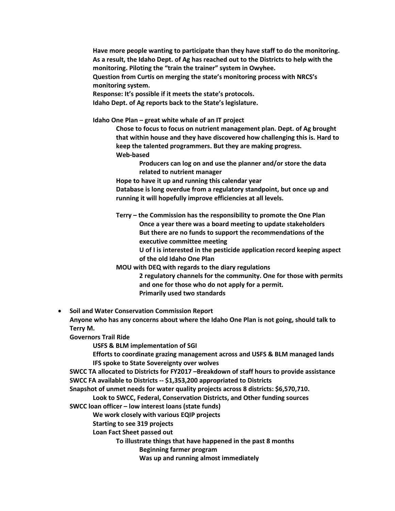**Have more people wanting to participate than they have staff to do the monitoring. As a result, the Idaho Dept. of Ag has reached out to the Districts to help with the monitoring. Piloting the "train the trainer" system in Owyhee. Question from Curtis on merging the state's monitoring process with NRCS's monitoring system. Response: It's possible if it meets the state's protocols.**

**Idaho Dept. of Ag reports back to the State's legislature.**

**Idaho One Plan – great white whale of an IT project**

**Chose to focus to focus on nutrient management plan. Dept. of Ag brought that within house and they have discovered how challenging this is. Hard to keep the talented programmers. But they are making progress. Web-based**

**Producers can log on and use the planner and/or store the data related to nutrient manager**

**Hope to have it up and running this calendar year**

**Database is long overdue from a regulatory standpoint, but once up and running it will hopefully improve efficiencies at all levels.**

**Terry – the Commission has the responsibility to promote the One Plan Once a year there was a board meeting to update stakeholders But there are no funds to support the recommendations of the executive committee meeting**

**U of I is interested in the pesticide application record keeping aspect of the old Idaho One Plan** 

**MOU with DEQ with regards to the diary regulations**

**2 regulatory channels for the community. One for those with permits and one for those who do not apply for a permit. Primarily used two standards** 

• **Soil and Water Conservation Commission Report Anyone who has any concerns about where the Idaho One Plan is not going, should talk to Terry M.**

**Governors Trail Ride**

**USFS & BLM implementation of SGI**

**Efforts to coordinate grazing management across and USFS & BLM managed lands IFS spoke to State Sovereignty over wolves**

**SWCC TA allocated to Districts for FY2017 –Breakdown of staff hours to provide assistance SWCC FA available to Districts -- \$1,353,200 appropriated to Districts**

**Snapshot of unmet needs for water quality projects across 8 districts: \$6,570,710.** 

**Look to SWCC, Federal, Conservation Districts, and Other funding sources SWCC loan officer – low interest loans (state funds)**

**We work closely with various EQIP projects**

**Starting to see 319 projects**

**Loan Fact Sheet passed out**

**To illustrate things that have happened in the past 8 months**

**Beginning farmer program**

**Was up and running almost immediately**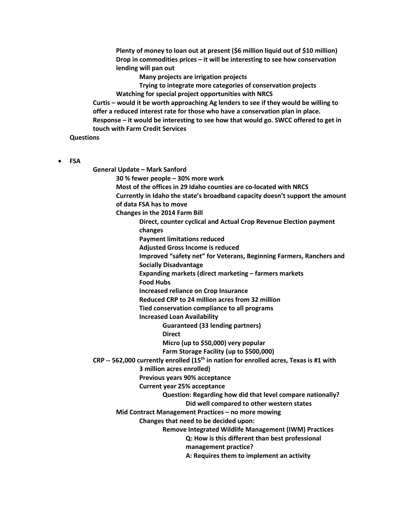**Plenty of money to loan out at present (\$6 million liquid out of \$10 million) Drop in commodities prices – it will be interesting to see how conservation lending will pan out**

**Many projects are irrigation projects**

**Trying to integrate more categories of conservation projects Watching for special project opportunities with NRCS**

**Curtis – would it be worth approaching Ag lenders to see if they would be willing to offer a reduced interest rate for those who have a conservation plan in place. Response – it would be interesting to see how that would go. SWCC offered to get in touch with Farm Credit Services**

**Questions**

• **FSA**

**General Update – Mark Sanford 30 % fewer people – 30% more work Most of the offices in 29 Idaho counties are co-located with NRCS Currently in Idaho the state's broadband capacity doesn't support the amount of data FSA has to move Changes in the 2014 Farm Bill Direct, counter cyclical and Actual Crop Revenue Election payment changes Payment limitations reduced Adjusted Gross Income is reduced Improved "safety net" for Veterans, Beginning Farmers, Ranchers and Socially Disadvantage Expanding markets (direct marketing – farmers markets Food Hubs Increased reliance on Crop Insurance Reduced CRP to 24 million acres from 32 million Tied conservation compliance to all programs Increased Loan Availability Guaranteed (33 lending partners) Direct Micro (up to \$50,000) very popular Farm Storage Facility (up to \$500,000) CRP -- 562,000 currently enrolled (15th in nation for enrolled acres, Texas is #1 with 3 million acres enrolled) Previous years 90% acceptance Current year 25% acceptance Question: Regarding how did that level compare nationally? Did well compared to other western states Mid Contract Management Practices – no more mowing Changes that need to be decided upon: Remove Integrated Wildlife Management (IWM) Practices Q: How is this different than best professional management practice? A: Requires them to implement an activity**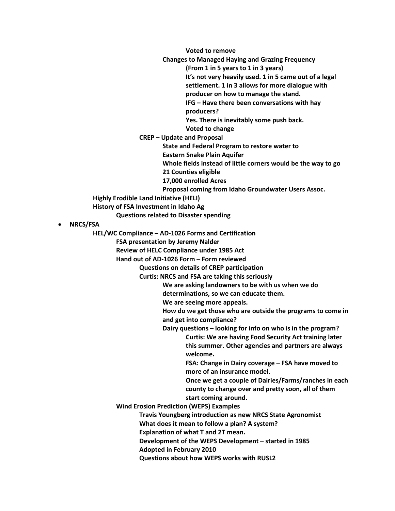**Voted to remove**

**Changes to Managed Haying and Grazing Frequency**

**(From 1 in 5 years to 1 in 3 years)**

**It's not very heavily used. 1 in 5 came out of a legal settlement. 1 in 3 allows for more dialogue with** 

**producer on how to manage the stand.**

**IFG – Have there been conversations with hay producers?**

**Yes. There is inevitably some push back.** 

**Voted to change**

**CREP – Update and Proposal**

**State and Federal Program to restore water to** 

**Eastern Snake Plain Aquifer**

**Whole fields instead of little corners would be the way to go**

**21 Counties eligible**

**17,000 enrolled Acres**

**Proposal coming from Idaho Groundwater Users Assoc.**

**Highly Erodible Land Initiative (HELI)**

**History of FSA Investment in Idaho Ag**

**Questions related to Disaster spending**

# • **NRCS/FSA**

**HEL/WC Compliance – AD-1026 Forms and Certification**

**FSA presentation by Jeremy Nalder**

**Review of HELC Compliance under 1985 Act**

**Hand out of AD-1026 Form – Form reviewed** 

**Questions on details of CREP participation**

**Curtis: NRCS and FSA are taking this seriously**

**We are asking landowners to be with us when we do** 

**determinations, so we can educate them.**

**We are seeing more appeals.**

**How do we get those who are outside the programs to come in and get into compliance?**

**Dairy questions – looking for info on who is in the program?**

**Curtis: We are having Food Security Act training later this summer. Other agencies and partners are always welcome.**

**FSA: Change in Dairy coverage – FSA have moved to more of an insurance model.**

**Once we get a couple of Dairies/Farms/ranches in each county to change over and pretty soon, all of them start coming around.**

**Wind Erosion Prediction (WEPS) Examples**

**Travis Youngberg introduction as new NRCS State Agronomist**

**What does it mean to follow a plan? A system?** 

**Explanation of what T and 2T mean.**

**Development of the WEPS Development – started in 1985**

**Adopted in February 2010**

**Questions about how WEPS works with RUSL2**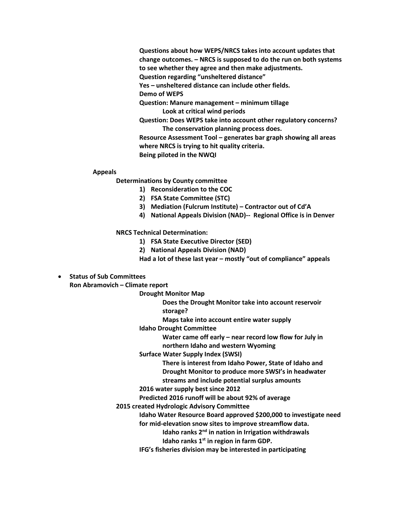**Questions about how WEPS/NRCS takes into account updates that change outcomes. – NRCS is supposed to do the run on both systems to see whether they agree and then make adjustments. Question regarding "unsheltered distance"** 

**Yes – unsheltered distance can include other fields.**

**Demo of WEPS**

**Question: Manure management – minimum tillage Look at critical wind periods**

**Question: Does WEPS take into account other regulatory concerns? The conservation planning process does.**

**Resource Assessment Tool – generates bar graph showing all areas where NRCS is trying to hit quality criteria. Being piloted in the NWQI**

#### **Appeals**

**Determinations by County committee**

- **1) Reconsideration to the COC**
- **2) FSA State Committee (STC)**
- **3) Mediation (Fulcrum Institute) – Contractor out of Cd'A**
- **4) National Appeals Division (NAD)-- Regional Office is in Denver**

**NRCS Technical Determination:**

- **1) FSA State Executive Director (SED)**
- **2) National Appeals Division (NAD)**

**Had a lot of these last year – mostly "out of compliance" appeals**

# • **Status of Sub Committees**

**Ron Abramovich – Climate report**

**Drought Monitor Map**

**Does the Drought Monitor take into account reservoir storage?**

**Maps take into account entire water supply**

**Idaho Drought Committee**

**Water came off early – near record low flow for July in northern Idaho and western Wyoming**

**Surface Water Supply Index (SWSI)**

**There is interest from Idaho Power, State of Idaho and Drought Monitor to produce more SWSI's in headwater streams and include potential surplus amounts**

### **2016 water supply best since 2012**

**Predicted 2016 runoff will be about 92% of average**

**2015 created Hydrologic Advisory Committee**

**Idaho Water Resource Board approved \$200,000 to investigate need for mid-elevation snow sites to improve streamflow data.**

**Idaho ranks 2nd in nation in Irrigation withdrawals**

**Idaho ranks 1st in region in farm GDP.**

**IFG's fisheries division may be interested in participating**